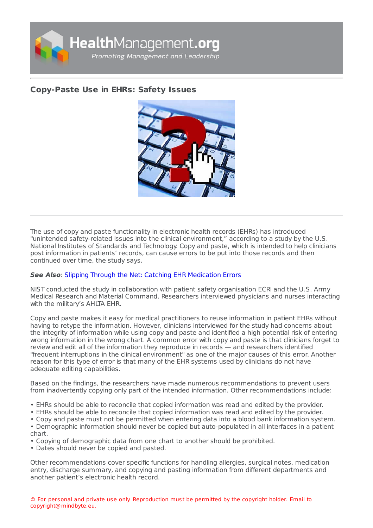

## **[Copy-Paste](https://healthmanagement.org/s/copy-paste-use-in-ehrs-safety-issues) Use in EHRs: Safety Issues**



The use of copy and paste functionality in electronic health records (EHRs) has introduced "unintended safety-related issues into the clinical environment," according to a study by the U.S. National Institutes of Standards and Technology. Copy and paste, which is intended to help clinicians post information in patients' records, can cause errors to be put into those records and then continued over time, the study says.

## **See Also**: Slipping Through the Net: Catching EHR [Medication](https://healthmanagement.org/c/it/news/slipping-through-the-net-catching-ehr-medication-errors) Errors

NIST conducted the study in collaboration with patient safety organisation ECRI and the U.S. Army Medical Research and Material Command. Researchers interviewed physicians and nurses interacting with the military's AHLTA EHR.

Copy and paste makes it easy for medical practitioners to reuse information in patient EHRs without having to retype the information. However, clinicians interviewed for the study had concerns about the integrity of information while using copy and paste and identified a high potential risk of entering wrong information in the wrong chart. A common error with copy and paste is that clinicians forget to review and edit all of the information they reproduce in records — and researchers identified "frequent interruptions in the clinical environment" as one of the major causes of this error. Another reason for this type of error is that many of the EHR systems used by clinicians do not have adequate editing capabilities.

Based on the findings, the researchers have made numerous recommendations to prevent users from inadvertently copying only part of the intended information. Other recommendations include:

- EHRs should be able to reconcile that copied information was read and edited by the provider.
- EHRs should be able to reconcile that copied information was read and edited by the provider.
- Copy and paste must not be permitted when entering data into a blood bank information system.
- Demographic information should never be copied but auto-populated in all interfaces in a patient chart.
- Copying of demographic data from one chart to another should be prohibited.
- Dates should never be copied and pasted.

Other recommendations cover specific functions for handling allergies, surgical notes, medication entry, discharge summary, and copying and pasting information from different departments and another patient's electronic health record.

© For personal and private use only. Reproduction must be permitted by the copyright holder. Email to copyright@mindbyte.eu.